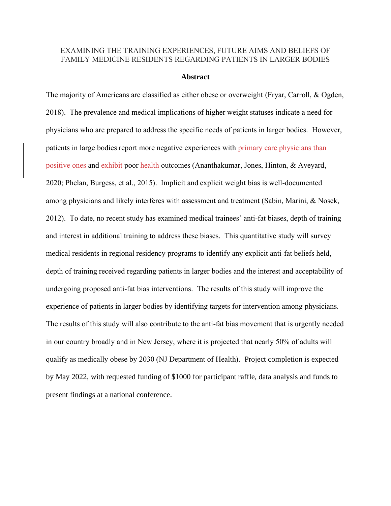## EXAMINING THE TRAINING EXPERIENCES, FUTURE AIMS AND BELIEFS OF FAMILY MEDICINE RESIDENTS REGARDING PATIENTS IN LARGER BODIES

## **Abstract**

The majority of Americans are classified as either obese or overweight (Fryar, Carroll, & Ogden, 2018). The prevalence and medical implications of higher weight statuses indicate a need for physicians who are prepared to address the specific needs of patients in larger bodies. However, patients in large bodies report more negative experiences with primary care physicians than positive ones and exhibit poor health outcomes (Ananthakumar, Jones, Hinton, & Aveyard, 2020; Phelan, Burgess, et al., 2015). Implicit and explicit weight bias is well-documented among physicians and likely interferes with assessment and treatment (Sabin, Marini, & Nosek, 2012). To date, no recent study has examined medical trainees' anti-fat biases, depth of training and interest in additional training to address these biases. This quantitative study will survey medical residents in regional residency programs to identify any explicit anti-fat beliefs held, depth of training received regarding patients in larger bodies and the interest and acceptability of undergoing proposed anti-fat bias interventions. The results of this study will improve the experience of patients in larger bodies by identifying targets for intervention among physicians. The results of this study will also contribute to the anti-fat bias movement that is urgently needed in our country broadly and in New Jersey, where it is projected that nearly 50% of adults will qualify as medically obese by 2030 (NJ Department of Health). Project completion is expected by May 2022, with requested funding of \$1000 for participant raffle, data analysis and funds to present findings at a national conference.